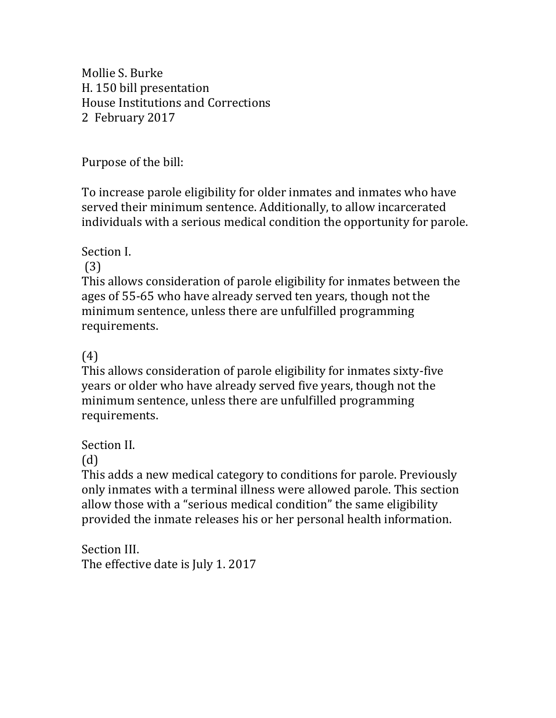Mollie S. Burke H. 150 bill presentation House Institutions and Corrections 2 February 2017

Purpose of the bill:

To increase parole eligibility for older inmates and inmates who have served their minimum sentence. Additionally, to allow incarcerated individuals with a serious medical condition the opportunity for parole.

Section I.

(3)

This allows consideration of parole eligibility for inmates between the ages of 55-65 who have already served ten years, though not the minimum sentence, unless there are unfulfilled programming requirements.

(4)

This allows consideration of parole eligibility for inmates sixty-five years or older who have already served five years, though not the minimum sentence, unless there are unfulfilled programming requirements.

Section II.

(d)

This adds a new medical category to conditions for parole. Previously only inmates with a terminal illness were allowed parole. This section allow those with a "serious medical condition" the same eligibility provided the inmate releases his or her personal health information.

Section III. The effective date is July 1. 2017